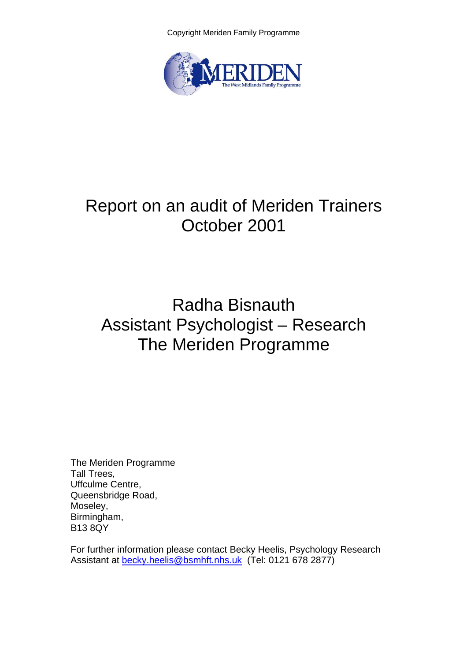Copyright Meriden Family Programme



# Report on an audit of Meriden Trainers October 2001

# Radha Bisnauth Assistant Psychologist – Research The Meriden Programme

The Meriden Programme Tall Trees, Uffculme Centre, Queensbridge Road, Moseley, Birmingham, B13 8QY

For further information please contact Becky Heelis, Psychology Research Assistant at [becky.heelis@bsmhft.nhs.uk](mailto:becky.heelis@bsmhft.nhs.uk) (Tel: 0121 678 2877)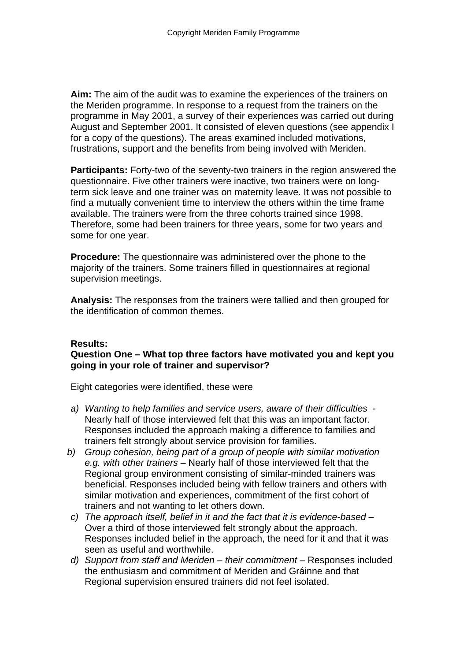**Aim:** The aim of the audit was to examine the experiences of the trainers on the Meriden programme. In response to a request from the trainers on the programme in May 2001, a survey of their experiences was carried out during August and September 2001. It consisted of eleven questions (see appendix I for a copy of the questions). The areas examined included motivations, frustrations, support and the benefits from being involved with Meriden.

**Participants:** Forty-two of the seventy-two trainers in the region answered the questionnaire. Five other trainers were inactive, two trainers were on longterm sick leave and one trainer was on maternity leave. It was not possible to find a mutually convenient time to interview the others within the time frame available. The trainers were from the three cohorts trained since 1998. Therefore, some had been trainers for three years, some for two years and some for one year.

**Procedure:** The questionnaire was administered over the phone to the majority of the trainers. Some trainers filled in questionnaires at regional supervision meetings.

**Analysis:** The responses from the trainers were tallied and then grouped for the identification of common themes.

### **Results:**

### **Question One – What top three factors have motivated you and kept you going in your role of trainer and supervisor?**

Eight categories were identified, these were

- *a) Wanting to help families and service users, aware of their difficulties*  Nearly half of those interviewed felt that this was an important factor. Responses included the approach making a difference to families and trainers felt strongly about service provision for families.
- *b) Group cohesion, being part of a group of people with similar motivation e.g. with other trainers* – Nearly half of those interviewed felt that the Regional group environment consisting of similar-minded trainers was beneficial. Responses included being with fellow trainers and others with similar motivation and experiences, commitment of the first cohort of trainers and not wanting to let others down.
- *c) The approach itself, belief in it and the fact that it is evidence-based*  Over a third of those interviewed felt strongly about the approach. Responses included belief in the approach, the need for it and that it was seen as useful and worthwhile.
- *d)* Support from staff and Meriden their commitment Responses included the enthusiasm and commitment of Meriden and Gráinne and that Regional supervision ensured trainers did not feel isolated.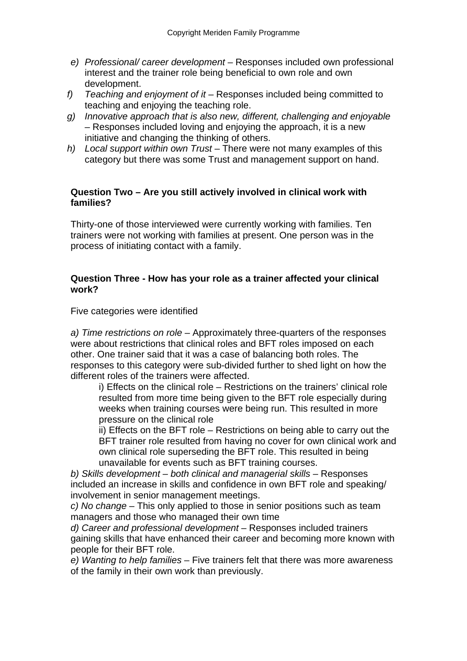- *e) Professional/ career development*  Responses included own professional interest and the trainer role being beneficial to own role and own development.
- *f) Teaching and enjoyment of it* Responses included being committed to teaching and enjoying the teaching role.
- *g) Innovative approach that is also new, different, challenging and enjoyable –* Responses included loving and enjoying the approach, it is a new initiative and changing the thinking of others.
- *h) Local support within own Trust*  There were not many examples of this category but there was some Trust and management support on hand.

### **Question Two – Are you still actively involved in clinical work with families?**

Thirty-one of those interviewed were currently working with families. Ten trainers were not working with families at present. One person was in the process of initiating contact with a family.

#### **Question Three - How has your role as a trainer affected your clinical work?**

Five categories were identified

*a) Time restrictions on role* – Approximately three-quarters of the responses were about restrictions that clinical roles and BFT roles imposed on each other. One trainer said that it was a case of balancing both roles. The responses to this category were sub-divided further to shed light on how the different roles of the trainers were affected.

i) Effects on the clinical role – Restrictions on the trainers' clinical role resulted from more time being given to the BFT role especially during weeks when training courses were being run. This resulted in more pressure on the clinical role

ii) Effects on the BFT role – Restrictions on being able to carry out the BFT trainer role resulted from having no cover for own clinical work and own clinical role superseding the BFT role. This resulted in being unavailable for events such as BFT training courses.

*b)* **Skills development – both clinical and managerial skills – Responses** included an increase in skills and confidence in own BFT role and speaking/ involvement in senior management meetings.

*c) No change* – This only applied to those in senior positions such as team managers and those who managed their own time

*d) Career and professional development* – Responses included trainers gaining skills that have enhanced their career and becoming more known with people for their BFT role.

*e) Wanting to help families* – Five trainers felt that there was more awareness of the family in their own work than previously.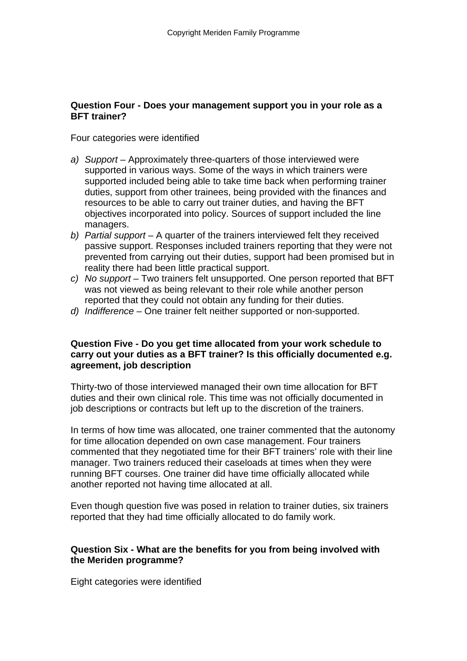### **Question Four - Does your management support you in your role as a BFT trainer?**

Four categories were identified

- a) Support Approximately three-quarters of those interviewed were supported in various ways. Some of the ways in which trainers were supported included being able to take time back when performing trainer duties, support from other trainees, being provided with the finances and resources to be able to carry out trainer duties, and having the BFT objectives incorporated into policy. Sources of support included the line managers.
- *b) Partial support*  A quarter of the trainers interviewed felt they received passive support. Responses included trainers reporting that they were not prevented from carrying out their duties, support had been promised but in reality there had been little practical support.
- *c) No support*  Two trainers felt unsupported. One person reported that BFT was not viewed as being relevant to their role while another person reported that they could not obtain any funding for their duties.
- *d) Indifference*  One trainer felt neither supported or non-supported.

#### **Question Five - Do you get time allocated from your work schedule to carry out your duties as a BFT trainer? Is this officially documented e.g. agreement, job description**

Thirty-two of those interviewed managed their own time allocation for BFT duties and their own clinical role. This time was not officially documented in job descriptions or contracts but left up to the discretion of the trainers.

In terms of how time was allocated, one trainer commented that the autonomy for time allocation depended on own case management. Four trainers commented that they negotiated time for their BFT trainers' role with their line manager. Two trainers reduced their caseloads at times when they were running BFT courses. One trainer did have time officially allocated while another reported not having time allocated at all.

Even though question five was posed in relation to trainer duties, six trainers reported that they had time officially allocated to do family work.

### **Question Six - What are the benefits for you from being involved with the Meriden programme?**

Eight categories were identified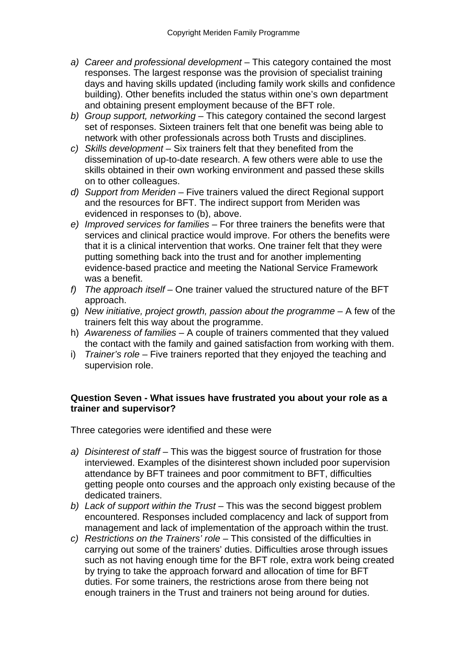- *a) Career and professional development*  This category contained the most responses. The largest response was the provision of specialist training days and having skills updated (including family work skills and confidence building). Other benefits included the status within one's own department and obtaining present employment because of the BFT role.
- *b) Group support, networking*  This category contained the second largest set of responses. Sixteen trainers felt that one benefit was being able to network with other professionals across both Trusts and disciplines.
- *c) Skills development* Six trainers felt that they benefited from the dissemination of up-to-date research. A few others were able to use the skills obtained in their own working environment and passed these skills on to other colleagues.
- *d) Support from Meriden*  Five trainers valued the direct Regional support and the resources for BFT. The indirect support from Meriden was evidenced in responses to (b), above.
- *e) Improved services for families* For three trainers the benefits were that services and clinical practice would improve. For others the benefits were that it is a clinical intervention that works. One trainer felt that they were putting something back into the trust and for another implementing evidence-based practice and meeting the National Service Framework was a benefit.
- *f) The approach itself* One trainer valued the structured nature of the BFT approach.
- g) *New initiative, project growth, passion about the programme*  A few of the trainers felt this way about the programme.
- h) *Awareness of families*  A couple of trainers commented that they valued the contact with the family and gained satisfaction from working with them.
- i) *Trainer's role*  Five trainers reported that they enjoyed the teaching and supervision role.

### **Question Seven - What issues have frustrated you about your role as a trainer and supervisor?**

Three categories were identified and these were

- *a) Disinterest of staff*  This was the biggest source of frustration for those interviewed. Examples of the disinterest shown included poor supervision attendance by BFT trainees and poor commitment to BFT, difficulties getting people onto courses and the approach only existing because of the dedicated trainers.
- *b) Lack of support within the Trust*  This was the second biggest problem encountered. Responses included complacency and lack of support from management and lack of implementation of the approach within the trust.
- *c) Restrictions on the Trainers' role*  This consisted of the difficulties in carrying out some of the trainers' duties. Difficulties arose through issues such as not having enough time for the BFT role, extra work being created by trying to take the approach forward and allocation of time for BFT duties. For some trainers, the restrictions arose from there being not enough trainers in the Trust and trainers not being around for duties.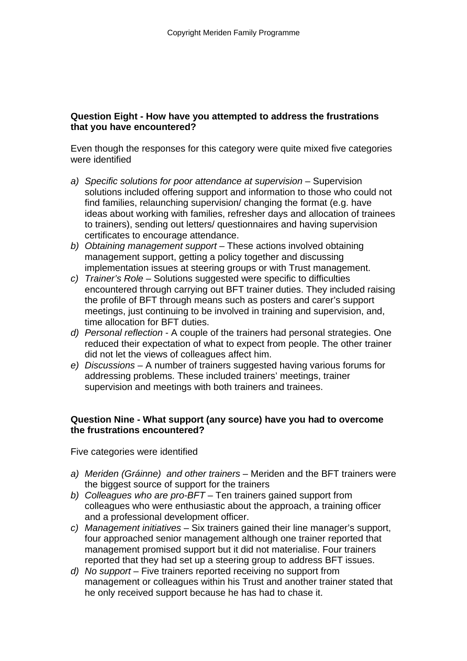# **Question Eight - How have you attempted to address the frustrations that you have encountered?**

Even though the responses for this category were quite mixed five categories were identified

- *a) Specific solutions for poor attendance at supervision*  Supervision solutions included offering support and information to those who could not find families, relaunching supervision/ changing the format (e.g. have ideas about working with families, refresher days and allocation of trainees to trainers), sending out letters/ questionnaires and having supervision certificates to encourage attendance.
- *b) Obtaining management support*  These actions involved obtaining management support, getting a policy together and discussing implementation issues at steering groups or with Trust management.
- *c) Trainer's Role*  Solutions suggested were specific to difficulties encountered through carrying out BFT trainer duties. They included raising the profile of BFT through means such as posters and carer's support meetings, just continuing to be involved in training and supervision, and, time allocation for BFT duties.
- *d) Personal reflection*  A couple of the trainers had personal strategies. One reduced their expectation of what to expect from people. The other trainer did not let the views of colleagues affect him.
- *e) Discussions*  A number of trainers suggested having various forums for addressing problems. These included trainers' meetings, trainer supervision and meetings with both trainers and trainees.

# **Question Nine - What support (any source) have you had to overcome the frustrations encountered?**

Five categories were identified

- *a) Meriden (Gráinne) and other trainers*  Meriden and the BFT trainers were the biggest source of support for the trainers
- *b) Colleagues who are pro-BFT*  Ten trainers gained support from colleagues who were enthusiastic about the approach, a training officer and a professional development officer.
- *c) Management initiatives*  Six trainers gained their line manager's support, four approached senior management although one trainer reported that management promised support but it did not materialise. Four trainers reported that they had set up a steering group to address BFT issues.
- d) No support Five trainers reported receiving no support from management or colleagues within his Trust and another trainer stated that he only received support because he has had to chase it.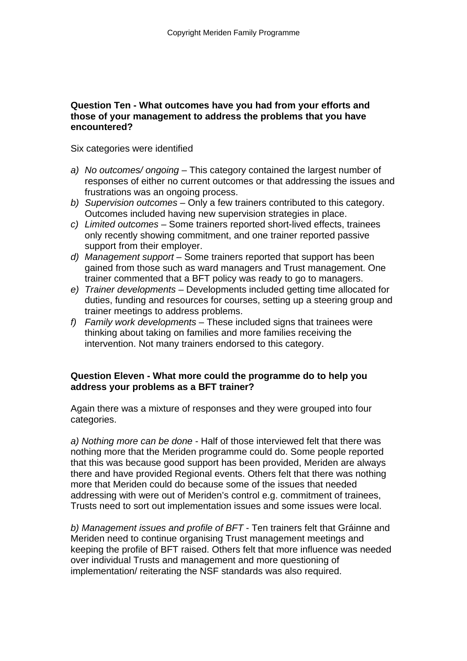#### **Question Ten - What outcomes have you had from your efforts and those of your management to address the problems that you have encountered?**

Six categories were identified

- *a) No outcomes/ ongoing*  This category contained the largest number of responses of either no current outcomes or that addressing the issues and frustrations was an ongoing process.
- *b) Supervision outcomes*  Only a few trainers contributed to this category. Outcomes included having new supervision strategies in place.
- *c) Limited outcomes*  Some trainers reported short-lived effects, trainees only recently showing commitment, and one trainer reported passive support from their employer.
- *d) Management support*  Some trainers reported that support has been gained from those such as ward managers and Trust management. One trainer commented that a BFT policy was ready to go to managers.
- *e) Trainer developments*  Developments included getting time allocated for duties, funding and resources for courses, setting up a steering group and trainer meetings to address problems.
- *f) Family work developments*  These included signs that trainees were thinking about taking on families and more families receiving the intervention. Not many trainers endorsed to this category.

#### **Question Eleven - What more could the programme do to help you address your problems as a BFT trainer?**

Again there was a mixture of responses and they were grouped into four categories.

*a) Nothing more can be done* - Half of those interviewed felt that there was nothing more that the Meriden programme could do. Some people reported that this was because good support has been provided, Meriden are always there and have provided Regional events. Others felt that there was nothing more that Meriden could do because some of the issues that needed addressing with were out of Meriden's control e.g. commitment of trainees, Trusts need to sort out implementation issues and some issues were local.

*b) Management issues and profile of BFT* - Ten trainers felt that Gráinne and Meriden need to continue organising Trust management meetings and keeping the profile of BFT raised. Others felt that more influence was needed over individual Trusts and management and more questioning of implementation/ reiterating the NSF standards was also required.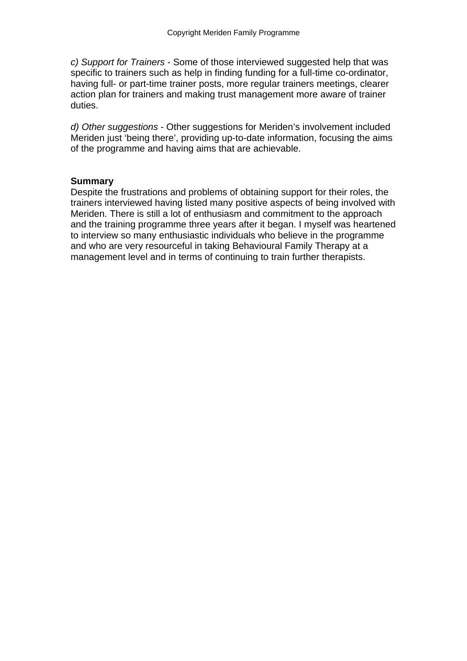*c) Support for Trainers* - Some of those interviewed suggested help that was specific to trainers such as help in finding funding for a full-time co-ordinator, having full- or part-time trainer posts, more regular trainers meetings, clearer action plan for trainers and making trust management more aware of trainer duties.

*d) Other suggestions* - Other suggestions for Meriden's involvement included Meriden just 'being there', providing up-to-date information, focusing the aims of the programme and having aims that are achievable.

### **Summary**

Despite the frustrations and problems of obtaining support for their roles, the trainers interviewed having listed many positive aspects of being involved with Meriden. There is still a lot of enthusiasm and commitment to the approach and the training programme three years after it began. I myself was heartened to interview so many enthusiastic individuals who believe in the programme and who are very resourceful in taking Behavioural Family Therapy at a management level and in terms of continuing to train further therapists.